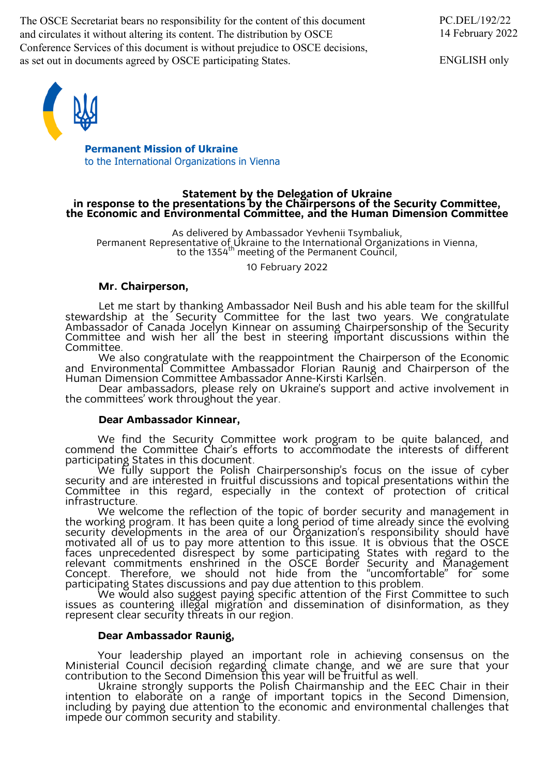The OSCE Secretariat bears no responsibility for the content of this document and circulates it without altering its content. The distribution by OSCE Conference Services of this document is without prejudice to OSCE decisions, as set out in documents agreed by OSCE participating States.

ENGLISH only



**Permanent Mission of Ukraine** to the International Organizations in Vienna

# Statement by the Delegation of Ukraine<br>in response to the presentations by the Chairpersons of the Security Committee,<br>the Economic and Environmental Committee, and the Human Dimension Committee

As delivered by Ambassador Yevhenii Tsymbaliuk,<br>Permanent Representative of Ukraine to the International Organizations in Vienna,<br>to the 1354<sup>th</sup> meeting of the Permanent Council,

10 February 2022

## **Mr. Chairperson,**

Let me start by thanking Ambassador Neil Bush and his able team for the skillful stewardship at the Security Committee for the last two years. We congratulate Ambassador of Canada Jocelyn Kinnear on assuming Chairpersonship of the Security Committee and wish her all the best in steering important discussions within the Committee.

We also congratulate with the reappointment the Chairperson of the Economic and Environmental Committee Ambassador Florian Raunig and Chairperson of the

Human Dimension Committee Ambassador Anne-Kirsti Karlsen.<br>Dear ambassadors, please rely on Ukraine's support and active involvement in the committees' work throughout the year.

## **Dear Ambassador Kinnear,**

We find the Security Committee work program to be quite balanced, and commend the Committee Chair's efforts to accommodate the interests of different

participating States in this document.<br>We fully support the Polish Chairpersonship's focus on the issue of cyber security and are interested in fruitful discussions and topical presentations within the Committee in this regard, especially in the context of protection of critical

infrastructure.<br>We welcome the reflection of the topic of border security and management in We welcome the reflection of the topic of border security and management in the working program. It has been quite a long period of time already since the evolving security developments in the area of our Organization's responsibility should have motivated all of us to pay more attention to this issue. It is obvious that the OSCE faces unprecedented disrespect by some participating States with regard to the relevant commitments enshrined in the OSCE Border Security and Management<br>Concept. Therefore, we should not hide from the "uncomfortable" for some participating States discussions and pay due attention to this problem.

We would also suggest paying specific attention of the First Committee to such issues as countering illegal migration and dissemination of disinformation, as they represent clear security threats in our region.

### **Dear Ambassador Raunig,**

Your leadership played an important role in achieving consensus on the

Ministerial Council decision regarding climate change, and we are sure that your<br>contribution to the Second Dimension this year will be fruitful as well.<br>Ukraine strongly supports the Polish Chairmanship and the EEC Chair impede our common security and stability.